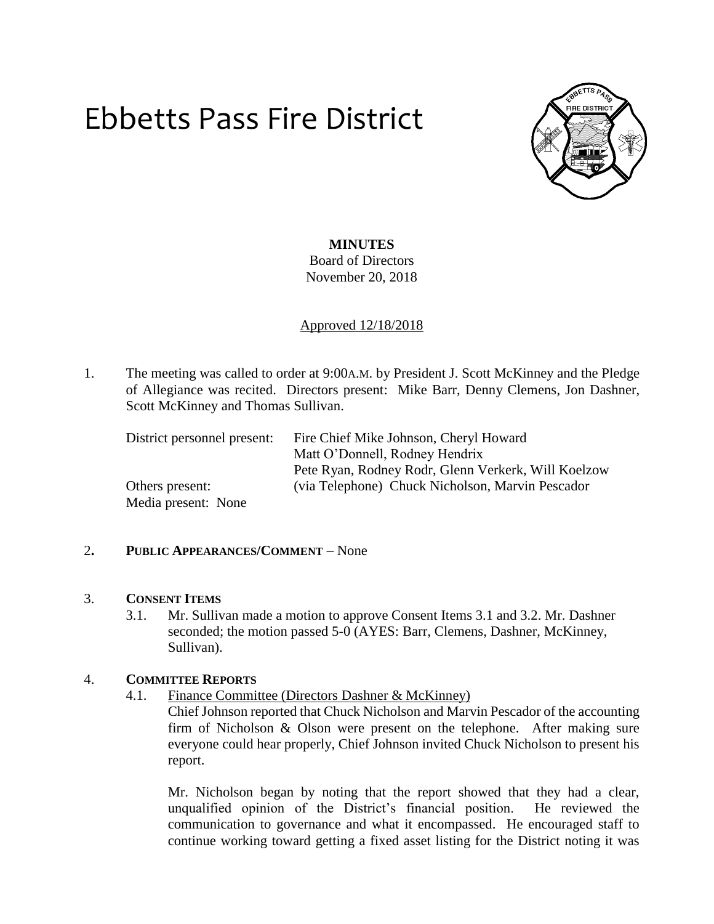# Ebbetts Pass Fire District



## **MINUTES**

Board of Directors November 20, 2018

Approved 12/18/2018

1. The meeting was called to order at 9:00A.M. by President J. Scott McKinney and the Pledge of Allegiance was recited. Directors present: Mike Barr, Denny Clemens, Jon Dashner, Scott McKinney and Thomas Sullivan.

| District personnel present: | Fire Chief Mike Johnson, Cheryl Howard              |
|-----------------------------|-----------------------------------------------------|
|                             | Matt O'Donnell, Rodney Hendrix                      |
|                             | Pete Ryan, Rodney Rodr, Glenn Verkerk, Will Koelzow |
| Others present:             | (via Telephone) Chuck Nicholson, Marvin Pescador    |
| Media present: None         |                                                     |

## 2**. PUBLIC APPEARANCES/COMMENT** – None

#### 3. **CONSENT ITEMS**

3.1. Mr. Sullivan made a motion to approve Consent Items 3.1 and 3.2. Mr. Dashner seconded; the motion passed 5-0 (AYES: Barr, Clemens, Dashner, McKinney, Sullivan).

#### 4. **COMMITTEE REPORTS**

4.1. Finance Committee (Directors Dashner & McKinney)

Chief Johnson reported that Chuck Nicholson and Marvin Pescador of the accounting firm of Nicholson & Olson were present on the telephone. After making sure everyone could hear properly, Chief Johnson invited Chuck Nicholson to present his report.

Mr. Nicholson began by noting that the report showed that they had a clear, unqualified opinion of the District's financial position. He reviewed the communication to governance and what it encompassed. He encouraged staff to continue working toward getting a fixed asset listing for the District noting it was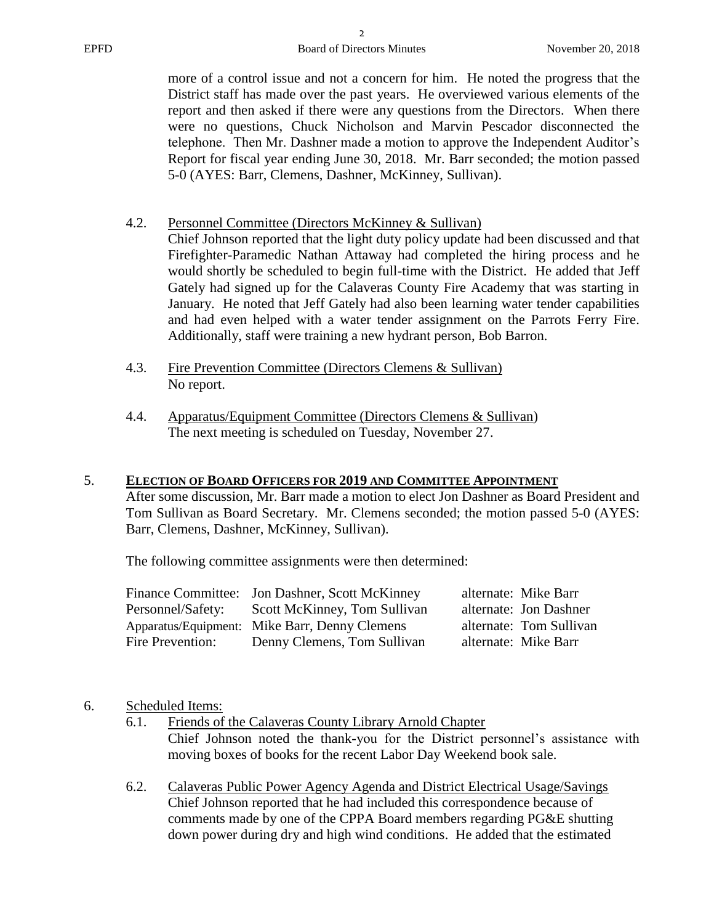more of a control issue and not a concern for him. He noted the progress that the District staff has made over the past years. He overviewed various elements of the report and then asked if there were any questions from the Directors. When there were no questions, Chuck Nicholson and Marvin Pescador disconnected the telephone. Then Mr. Dashner made a motion to approve the Independent Auditor's Report for fiscal year ending June 30, 2018. Mr. Barr seconded; the motion passed 5-0 (AYES: Barr, Clemens, Dashner, McKinney, Sullivan).

### 4.2. Personnel Committee (Directors McKinney & Sullivan)

Chief Johnson reported that the light duty policy update had been discussed and that Firefighter-Paramedic Nathan Attaway had completed the hiring process and he would shortly be scheduled to begin full-time with the District. He added that Jeff Gately had signed up for the Calaveras County Fire Academy that was starting in January. He noted that Jeff Gately had also been learning water tender capabilities and had even helped with a water tender assignment on the Parrots Ferry Fire. Additionally, staff were training a new hydrant person, Bob Barron.

- 4.3. Fire Prevention Committee (Directors Clemens & Sullivan) No report.
- 4.4. Apparatus/Equipment Committee (Directors Clemens & Sullivan) The next meeting is scheduled on Tuesday, November 27.

#### 5. **ELECTION OF BOARD OFFICERS FOR 2019 AND COMMITTEE APPOINTMENT**

After some discussion, Mr. Barr made a motion to elect Jon Dashner as Board President and Tom Sullivan as Board Secretary. Mr. Clemens seconded; the motion passed 5-0 (AYES: Barr, Clemens, Dashner, McKinney, Sullivan).

The following committee assignments were then determined:

| alternate: Jon Dashner  |
|-------------------------|
| alternate: Tom Sullivan |
| alternate: Mike Barr    |
|                         |

- 6. Scheduled Items:
	- 6.1. Friends of the Calaveras County Library Arnold Chapter Chief Johnson noted the thank-you for the District personnel's assistance with moving boxes of books for the recent Labor Day Weekend book sale.
	- 6.2. Calaveras Public Power Agency Agenda and District Electrical Usage/Savings Chief Johnson reported that he had included this correspondence because of comments made by one of the CPPA Board members regarding PG&E shutting down power during dry and high wind conditions. He added that the estimated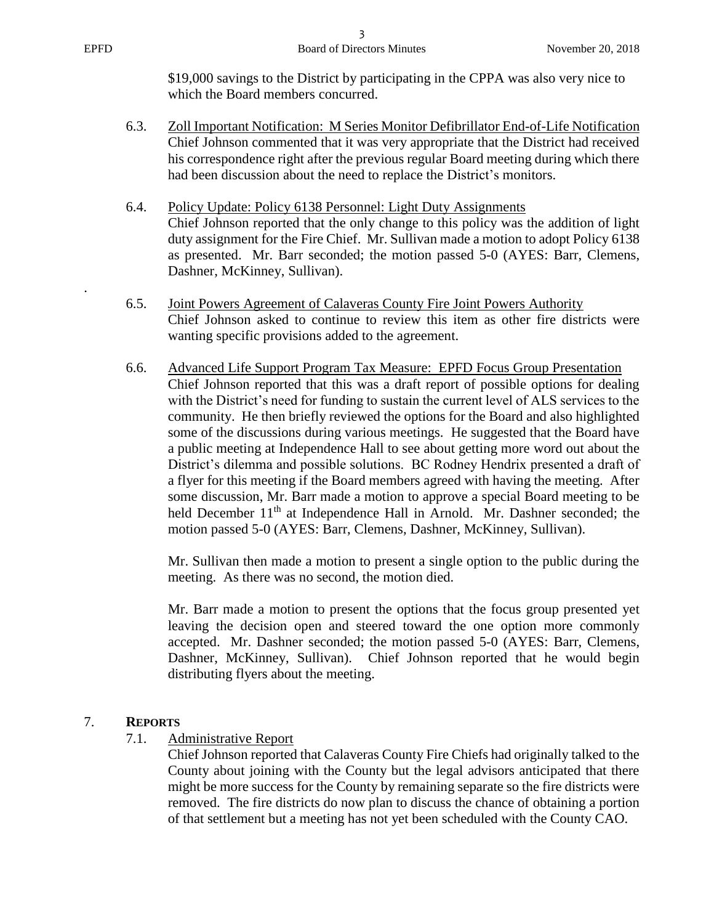.

\$19,000 savings to the District by participating in the CPPA was also very nice to which the Board members concurred.

- 6.3. Zoll Important Notification: M Series Monitor Defibrillator End-of-Life Notification Chief Johnson commented that it was very appropriate that the District had received his correspondence right after the previous regular Board meeting during which there had been discussion about the need to replace the District's monitors.
- 6.4. Policy Update: Policy 6138 Personnel: Light Duty Assignments Chief Johnson reported that the only change to this policy was the addition of light duty assignment for the Fire Chief. Mr. Sullivan made a motion to adopt Policy 6138 as presented. Mr. Barr seconded; the motion passed 5-0 (AYES: Barr, Clemens, Dashner, McKinney, Sullivan).
- 6.5. Joint Powers Agreement of Calaveras County Fire Joint Powers Authority Chief Johnson asked to continue to review this item as other fire districts were wanting specific provisions added to the agreement.
- 6.6. Advanced Life Support Program Tax Measure: EPFD Focus Group Presentation Chief Johnson reported that this was a draft report of possible options for dealing with the District's need for funding to sustain the current level of ALS services to the community. He then briefly reviewed the options for the Board and also highlighted some of the discussions during various meetings. He suggested that the Board have a public meeting at Independence Hall to see about getting more word out about the District's dilemma and possible solutions. BC Rodney Hendrix presented a draft of a flyer for this meeting if the Board members agreed with having the meeting. After some discussion, Mr. Barr made a motion to approve a special Board meeting to be held December 11<sup>th</sup> at Independence Hall in Arnold. Mr. Dashner seconded; the motion passed 5-0 (AYES: Barr, Clemens, Dashner, McKinney, Sullivan).

Mr. Sullivan then made a motion to present a single option to the public during the meeting. As there was no second, the motion died.

Mr. Barr made a motion to present the options that the focus group presented yet leaving the decision open and steered toward the one option more commonly accepted. Mr. Dashner seconded; the motion passed 5-0 (AYES: Barr, Clemens, Dashner, McKinney, Sullivan). Chief Johnson reported that he would begin distributing flyers about the meeting.

## 7. **REPORTS**

7.1. Administrative Report

Chief Johnson reported that Calaveras County Fire Chiefs had originally talked to the County about joining with the County but the legal advisors anticipated that there might be more success for the County by remaining separate so the fire districts were removed. The fire districts do now plan to discuss the chance of obtaining a portion of that settlement but a meeting has not yet been scheduled with the County CAO.